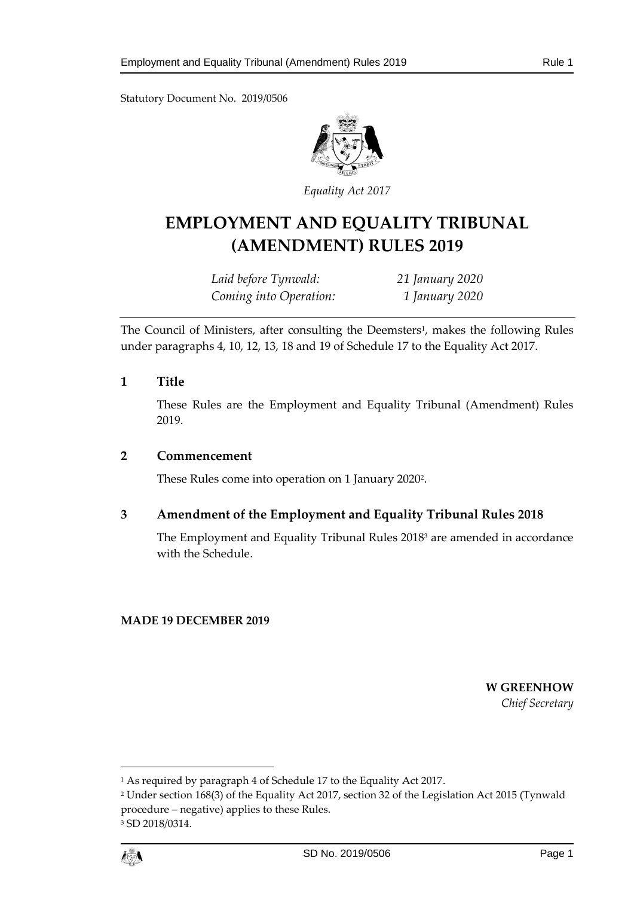Statutory Document No. 2019/0506



*Equality Act 2017*

# **EMPLOYMENT AND EQUALITY TRIBUNAL (AMENDMENT) RULES 2019**

*Laid before Tynwald: 21 January 2020 Coming into Operation: 1 January 2020*

The Council of Ministers, after consulting the Deemsters<sup>1</sup>, makes the following Rules under paragraphs 4, 10, 12, 13, 18 and 19 of Schedule 17 to the Equality Act 2017.

#### **1 Title**

These Rules are the Employment and Equality Tribunal (Amendment) Rules 2019.

#### **2 Commencement**

These Rules come into operation on 1 January 2020<sup>2</sup> .

## **3 Amendment of the Employment and Equality Tribunal Rules 2018**

The Employment and Equality Tribunal Rules 2018<sup>3</sup> are amended in accordance with the Schedule.

#### **MADE 19 DECEMBER 2019**

**W GREENHOW** *Chief Secretary*



 $\overline{a}$ 

<sup>&</sup>lt;sup>1</sup> As required by paragraph 4 of Schedule 17 to the Equality Act 2017.

<sup>2</sup> Under section 168(3) of the Equality Act 2017, section 32 of the Legislation Act 2015 (Tynwald procedure – negative) applies to these Rules. <sup>3</sup> SD 2018/0314.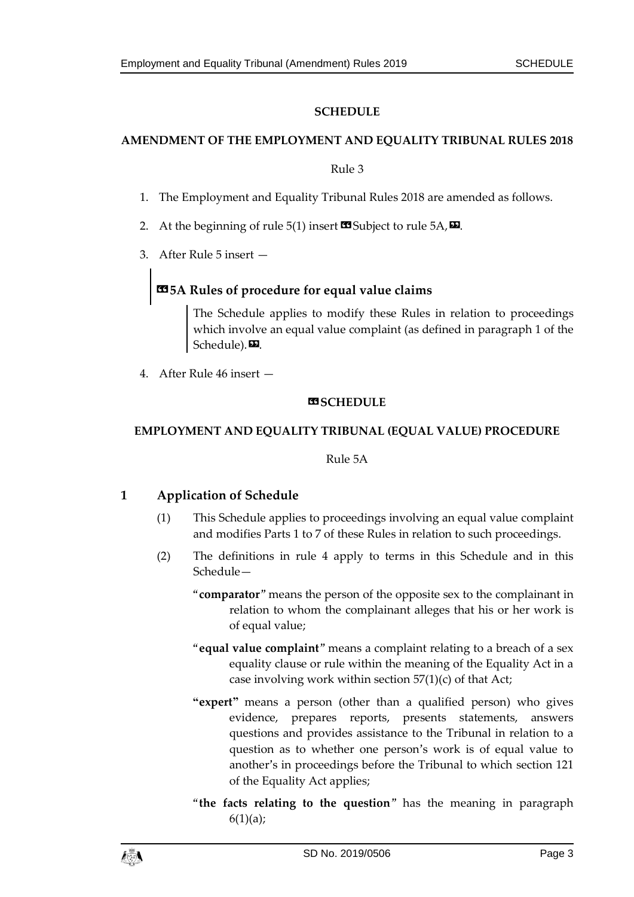## **SCHEDULE**

#### **AMENDMENT OF THE EMPLOYMENT AND EQUALITY TRIBUNAL RULES 2018**

#### Rule 3

- 1. The Employment and Equality Tribunal Rules 2018 are amended as follows.
- 2. At the beginning of rule 5(1) insert  $\blacksquare$  Subject to rule 5A,  $\blacksquare$ .
- 3. After Rule 5 insert —

## **«5A Rules of procedure for equal value claims**

The Schedule applies to modify these Rules in relation to proceedings which involve an equal value complaint (as defined in paragraph 1 of the Schedule).

4. After Rule 46 insert —

#### **BSCHEDULE**

#### **EMPLOYMENT AND EQUALITY TRIBUNAL (EQUAL VALUE) PROCEDURE**

Rule 5A

## **1 Application of Schedule**

- (1) This Schedule applies to proceedings involving an equal value complaint and modifies Parts 1 to 7 of these Rules in relation to such proceedings.
- (2) The definitions in rule 4 apply to terms in this Schedule and in this Schedule—
	- "**comparator**" means the person of the opposite sex to the complainant in relation to whom the complainant alleges that his or her work is of equal value;
	- "**equal value complaint**" means a complaint relating to a breach of a sex equality clause or rule within the meaning of the Equality Act in a case involving work within section 57(1)(c) of that Act;
	- **"expert"** means a person (other than a qualified person) who gives evidence, prepares reports, presents statements, answers questions and provides assistance to the Tribunal in relation to a question as to whether one person's work is of equal value to another's in proceedings before the Tribunal to which section 121 of the Equality Act applies;
	- "**the facts relating to the question**" has the meaning in paragraph  $6(1)(a);$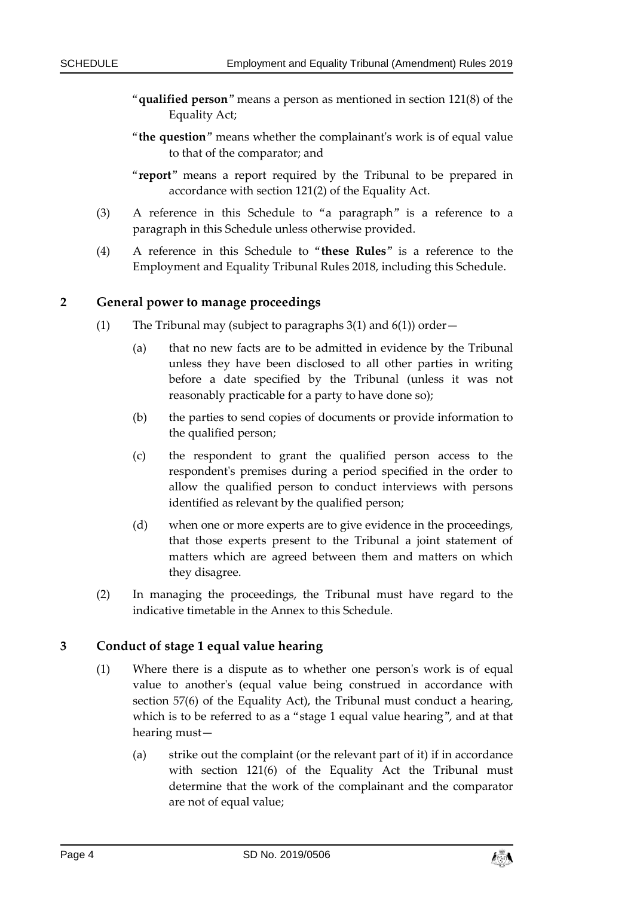- "**qualified person**" means a person as mentioned in section 121(8) of the Equality Act;
- "**the question**" means whether the complainant's work is of equal value to that of the comparator; and
- "**report**" means a report required by the Tribunal to be prepared in accordance with section 121(2) of the Equality Act.
- (3) A reference in this Schedule to "a paragraph" is a reference to a paragraph in this Schedule unless otherwise provided.
- (4) A reference in this Schedule to "**these Rules**" is a reference to the Employment and Equality Tribunal Rules 2018, including this Schedule.

#### **2 General power to manage proceedings**

- (1) The Tribunal may (subject to paragraphs  $3(1)$  and  $6(1)$ ) order—
	- (a) that no new facts are to be admitted in evidence by the Tribunal unless they have been disclosed to all other parties in writing before a date specified by the Tribunal (unless it was not reasonably practicable for a party to have done so);
	- (b) the parties to send copies of documents or provide information to the qualified person;
	- (c) the respondent to grant the qualified person access to the respondent's premises during a period specified in the order to allow the qualified person to conduct interviews with persons identified as relevant by the qualified person;
	- (d) when one or more experts are to give evidence in the proceedings, that those experts present to the Tribunal a joint statement of matters which are agreed between them and matters on which they disagree.
- (2) In managing the proceedings, the Tribunal must have regard to the indicative timetable in the Annex to this Schedule.

## **3 Conduct of stage 1 equal value hearing**

- (1) Where there is a dispute as to whether one person's work is of equal value to another's (equal value being construed in accordance with section 57(6) of the Equality Act), the Tribunal must conduct a hearing, which is to be referred to as a "stage 1 equal value hearing", and at that hearing must—
	- (a) strike out the complaint (or the relevant part of it) if in accordance with section 121(6) of the Equality Act the Tribunal must determine that the work of the complainant and the comparator are not of equal value;

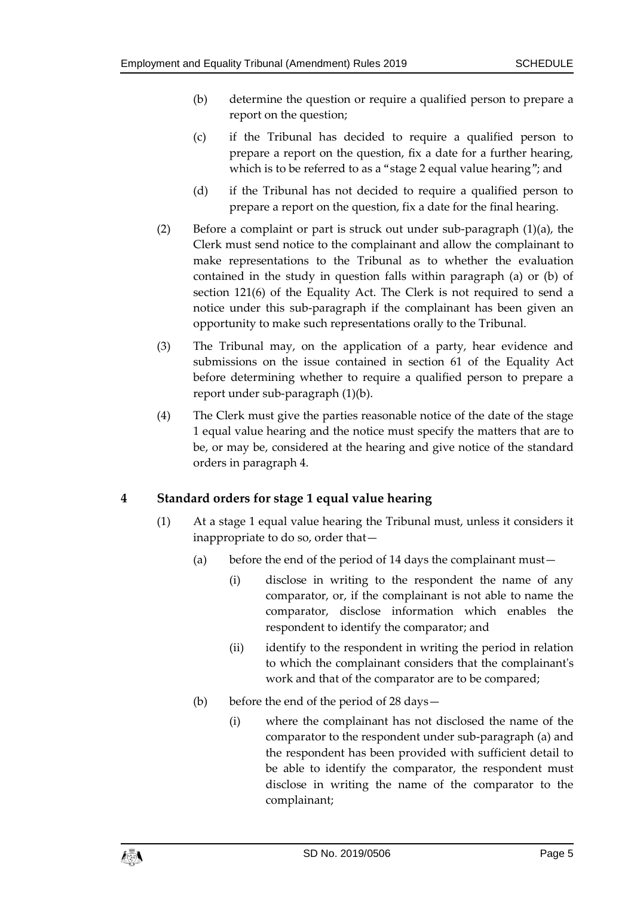- (b) determine the question or require a qualified person to prepare a report on the question;
- (c) if the Tribunal has decided to require a qualified person to prepare a report on the question, fix a date for a further hearing, which is to be referred to as a "stage 2 equal value hearing"; and
- (d) if the Tribunal has not decided to require a qualified person to prepare a report on the question, fix a date for the final hearing.
- (2) Before a complaint or part is struck out under sub-paragraph (1)(a), the Clerk must send notice to the complainant and allow the complainant to make representations to the Tribunal as to whether the evaluation contained in the study in question falls within paragraph (a) or (b) of section 121(6) of the Equality Act. The Clerk is not required to send a notice under this sub-paragraph if the complainant has been given an opportunity to make such representations orally to the Tribunal.
- (3) The Tribunal may, on the application of a party, hear evidence and submissions on the issue contained in section 61 of the Equality Act before determining whether to require a qualified person to prepare a report under sub-paragraph (1)(b).
- (4) The Clerk must give the parties reasonable notice of the date of the stage 1 equal value hearing and the notice must specify the matters that are to be, or may be, considered at the hearing and give notice of the standard orders in paragraph 4.

## **4 Standard orders for stage 1 equal value hearing**

- (1) At a stage 1 equal value hearing the Tribunal must, unless it considers it inappropriate to do so, order that—
	- (a) before the end of the period of 14 days the complainant must—
		- (i) disclose in writing to the respondent the name of any comparator, or, if the complainant is not able to name the comparator, disclose information which enables the respondent to identify the comparator; and
		- (ii) identify to the respondent in writing the period in relation to which the complainant considers that the complainant's work and that of the comparator are to be compared;
	- (b) before the end of the period of 28 days—
		- (i) where the complainant has not disclosed the name of the comparator to the respondent under sub-paragraph (a) and the respondent has been provided with sufficient detail to be able to identify the comparator, the respondent must disclose in writing the name of the comparator to the complainant;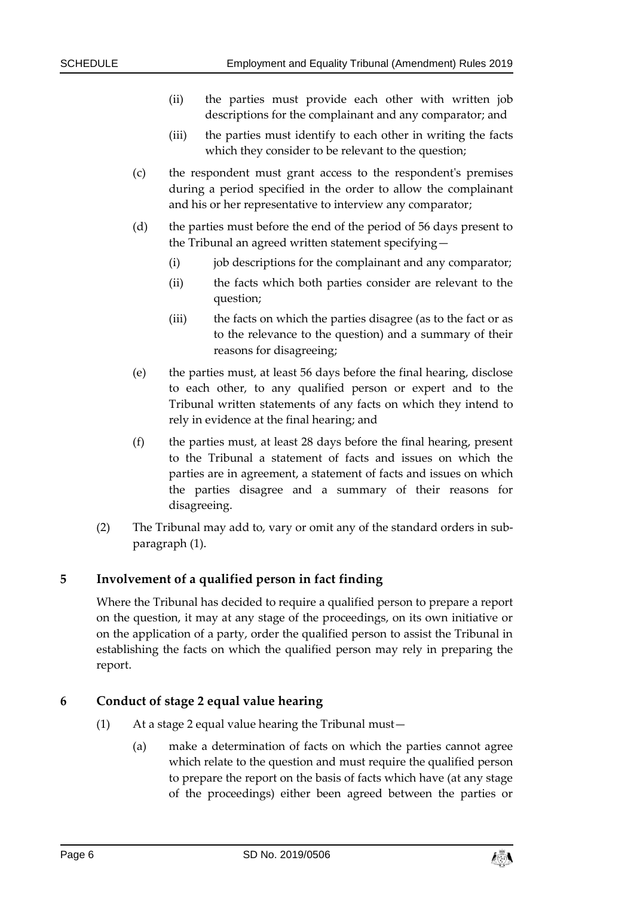- (ii) the parties must provide each other with written job descriptions for the complainant and any comparator; and
- (iii) the parties must identify to each other in writing the facts which they consider to be relevant to the question;
- (c) the respondent must grant access to the respondent's premises during a period specified in the order to allow the complainant and his or her representative to interview any comparator;
- (d) the parties must before the end of the period of 56 days present to the Tribunal an agreed written statement specifying—
	- (i) job descriptions for the complainant and any comparator;
	- (ii) the facts which both parties consider are relevant to the question;
	- (iii) the facts on which the parties disagree (as to the fact or as to the relevance to the question) and a summary of their reasons for disagreeing;
- (e) the parties must, at least 56 days before the final hearing, disclose to each other, to any qualified person or expert and to the Tribunal written statements of any facts on which they intend to rely in evidence at the final hearing; and
- (f) the parties must, at least 28 days before the final hearing, present to the Tribunal a statement of facts and issues on which the parties are in agreement, a statement of facts and issues on which the parties disagree and a summary of their reasons for disagreeing.
- (2) The Tribunal may add to, vary or omit any of the standard orders in subparagraph (1).

## **5 Involvement of a qualified person in fact finding**

Where the Tribunal has decided to require a qualified person to prepare a report on the question, it may at any stage of the proceedings, on its own initiative or on the application of a party, order the qualified person to assist the Tribunal in establishing the facts on which the qualified person may rely in preparing the report.

## **6 Conduct of stage 2 equal value hearing**

- (1) At a stage 2 equal value hearing the Tribunal must—
	- (a) make a determination of facts on which the parties cannot agree which relate to the question and must require the qualified person to prepare the report on the basis of facts which have (at any stage of the proceedings) either been agreed between the parties or

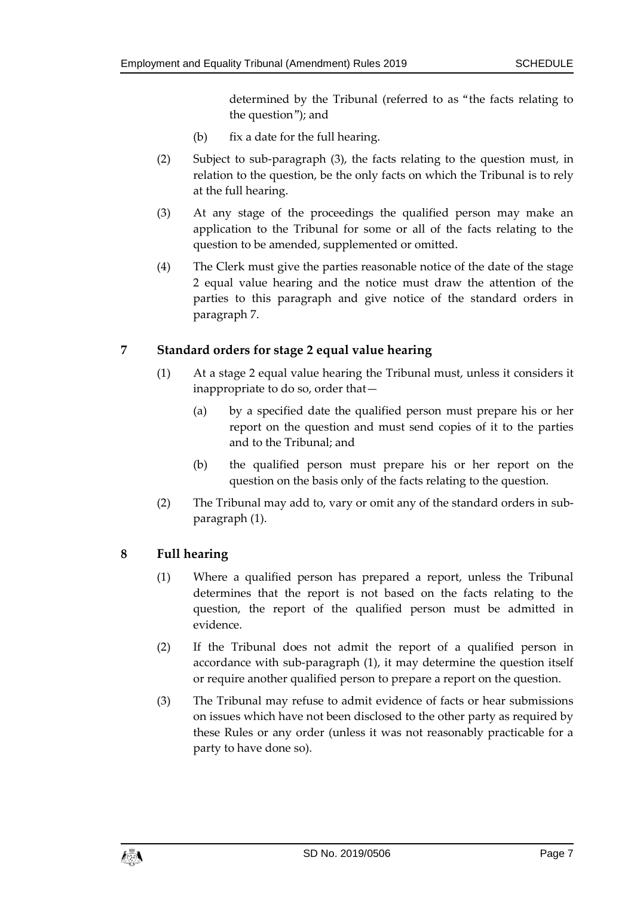determined by the Tribunal (referred to as "the facts relating to the question"); and

- (b) fix a date for the full hearing.
- (2) Subject to sub-paragraph (3), the facts relating to the question must, in relation to the question, be the only facts on which the Tribunal is to rely at the full hearing.
- (3) At any stage of the proceedings the qualified person may make an application to the Tribunal for some or all of the facts relating to the question to be amended, supplemented or omitted.
- (4) The Clerk must give the parties reasonable notice of the date of the stage 2 equal value hearing and the notice must draw the attention of the parties to this paragraph and give notice of the standard orders in paragraph 7.

## **7 Standard orders for stage 2 equal value hearing**

- (1) At a stage 2 equal value hearing the Tribunal must, unless it considers it inappropriate to do so, order that—
	- (a) by a specified date the qualified person must prepare his or her report on the question and must send copies of it to the parties and to the Tribunal; and
	- (b) the qualified person must prepare his or her report on the question on the basis only of the facts relating to the question.
- (2) The Tribunal may add to, vary or omit any of the standard orders in subparagraph (1).

## **8 Full hearing**

- (1) Where a qualified person has prepared a report, unless the Tribunal determines that the report is not based on the facts relating to the question, the report of the qualified person must be admitted in evidence.
- (2) If the Tribunal does not admit the report of a qualified person in accordance with sub-paragraph (1), it may determine the question itself or require another qualified person to prepare a report on the question.
- (3) The Tribunal may refuse to admit evidence of facts or hear submissions on issues which have not been disclosed to the other party as required by these Rules or any order (unless it was not reasonably practicable for a party to have done so).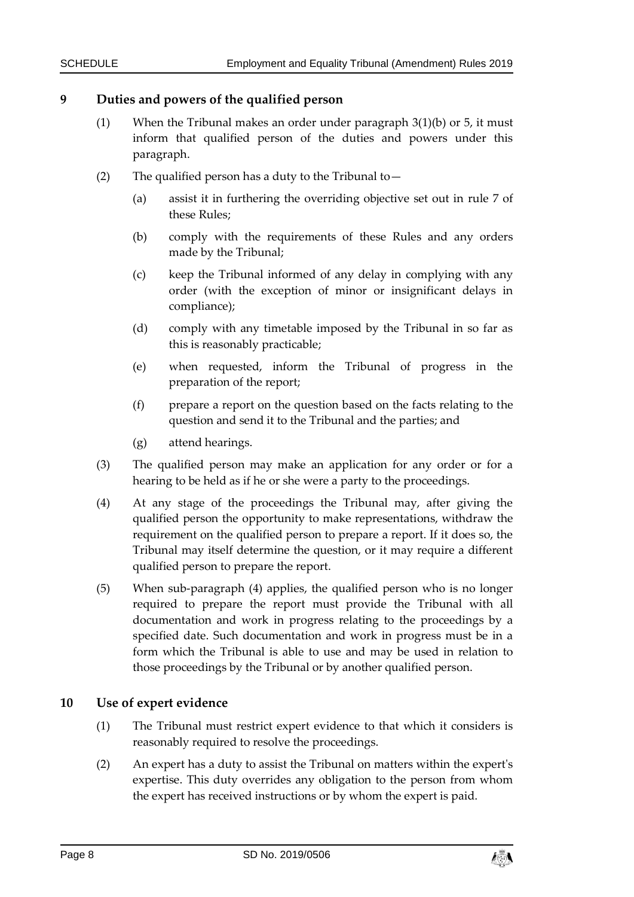#### **9 Duties and powers of the qualified person**

- (1) When the Tribunal makes an order under paragraph 3(1)(b) or 5, it must inform that qualified person of the duties and powers under this paragraph.
- (2) The qualified person has a duty to the Tribunal to  $-$ 
	- (a) assist it in furthering the overriding objective set out in rule 7 of these Rules;
	- (b) comply with the requirements of these Rules and any orders made by the Tribunal;
	- (c) keep the Tribunal informed of any delay in complying with any order (with the exception of minor or insignificant delays in compliance);
	- (d) comply with any timetable imposed by the Tribunal in so far as this is reasonably practicable;
	- (e) when requested, inform the Tribunal of progress in the preparation of the report;
	- (f) prepare a report on the question based on the facts relating to the question and send it to the Tribunal and the parties; and
	- (g) attend hearings.
- (3) The qualified person may make an application for any order or for a hearing to be held as if he or she were a party to the proceedings.
- (4) At any stage of the proceedings the Tribunal may, after giving the qualified person the opportunity to make representations, withdraw the requirement on the qualified person to prepare a report. If it does so, the Tribunal may itself determine the question, or it may require a different qualified person to prepare the report.
- (5) When sub-paragraph (4) applies, the qualified person who is no longer required to prepare the report must provide the Tribunal with all documentation and work in progress relating to the proceedings by a specified date. Such documentation and work in progress must be in a form which the Tribunal is able to use and may be used in relation to those proceedings by the Tribunal or by another qualified person.

#### **10 Use of expert evidence**

- (1) The Tribunal must restrict expert evidence to that which it considers is reasonably required to resolve the proceedings.
- (2) An expert has a duty to assist the Tribunal on matters within the expert's expertise. This duty overrides any obligation to the person from whom the expert has received instructions or by whom the expert is paid.

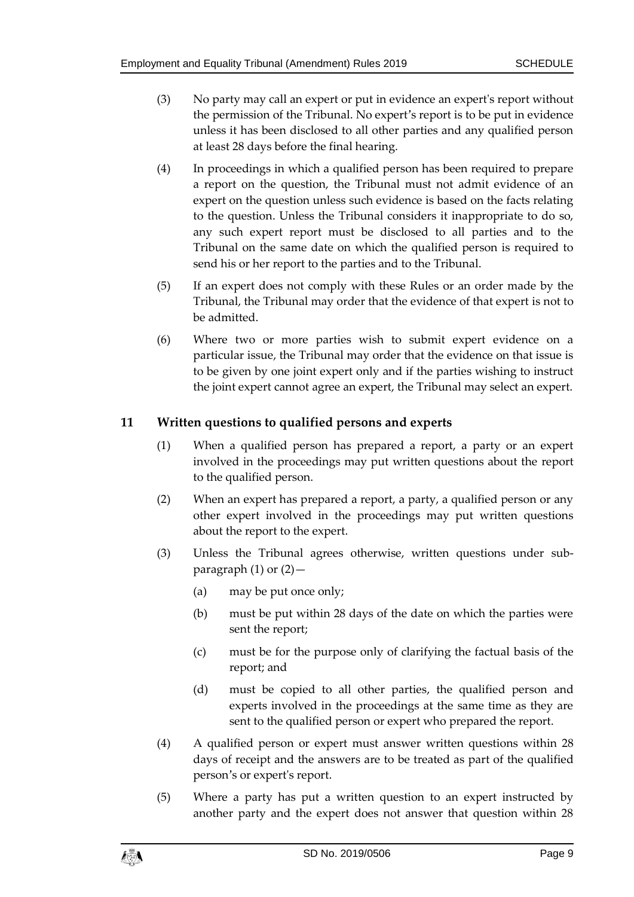- (3) No party may call an expert or put in evidence an expert's report without the permission of the Tribunal. No expert's report is to be put in evidence unless it has been disclosed to all other parties and any qualified person at least 28 days before the final hearing.
- (4) In proceedings in which a qualified person has been required to prepare a report on the question, the Tribunal must not admit evidence of an expert on the question unless such evidence is based on the facts relating to the question. Unless the Tribunal considers it inappropriate to do so, any such expert report must be disclosed to all parties and to the Tribunal on the same date on which the qualified person is required to send his or her report to the parties and to the Tribunal.
- (5) If an expert does not comply with these Rules or an order made by the Tribunal, the Tribunal may order that the evidence of that expert is not to be admitted.
- (6) Where two or more parties wish to submit expert evidence on a particular issue, the Tribunal may order that the evidence on that issue is to be given by one joint expert only and if the parties wishing to instruct the joint expert cannot agree an expert, the Tribunal may select an expert.

## **11 Written questions to qualified persons and experts**

- (1) When a qualified person has prepared a report, a party or an expert involved in the proceedings may put written questions about the report to the qualified person.
- (2) When an expert has prepared a report, a party, a qualified person or any other expert involved in the proceedings may put written questions about the report to the expert.
- (3) Unless the Tribunal agrees otherwise, written questions under subparagraph  $(1)$  or  $(2)$  -
	- (a) may be put once only;
	- (b) must be put within 28 days of the date on which the parties were sent the report;
	- (c) must be for the purpose only of clarifying the factual basis of the report; and
	- (d) must be copied to all other parties, the qualified person and experts involved in the proceedings at the same time as they are sent to the qualified person or expert who prepared the report.
- (4) A qualified person or expert must answer written questions within 28 days of receipt and the answers are to be treated as part of the qualified person's or expert's report.
- (5) Where a party has put a written question to an expert instructed by another party and the expert does not answer that question within 28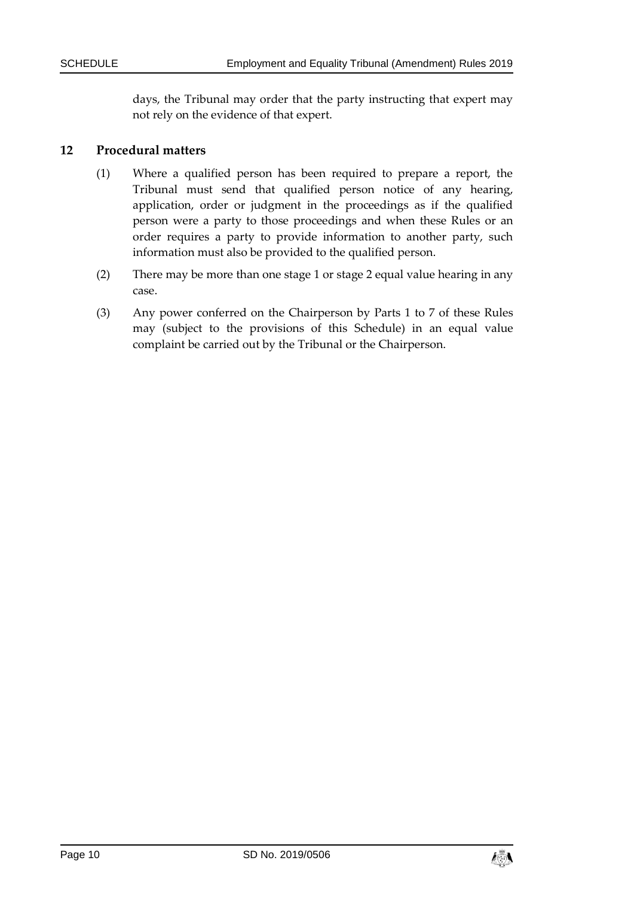days, the Tribunal may order that the party instructing that expert may not rely on the evidence of that expert.

#### **12 Procedural matters**

- (1) Where a qualified person has been required to prepare a report, the Tribunal must send that qualified person notice of any hearing, application, order or judgment in the proceedings as if the qualified person were a party to those proceedings and when these Rules or an order requires a party to provide information to another party, such information must also be provided to the qualified person.
- (2) There may be more than one stage 1 or stage 2 equal value hearing in any case.
- (3) Any power conferred on the Chairperson by Parts 1 to 7 of these Rules may (subject to the provisions of this Schedule) in an equal value complaint be carried out by the Tribunal or the Chairperson.

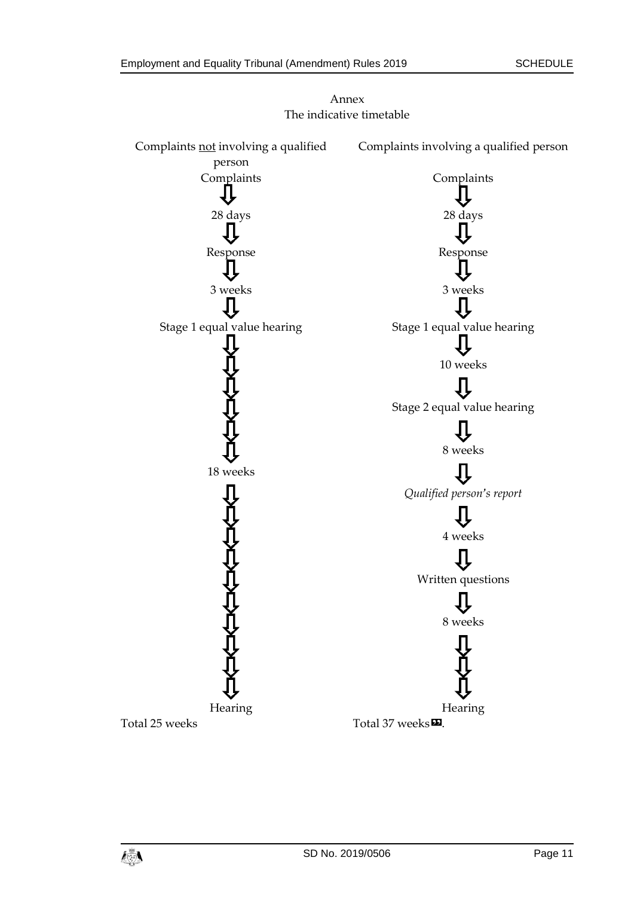

Annex The indicative timetable